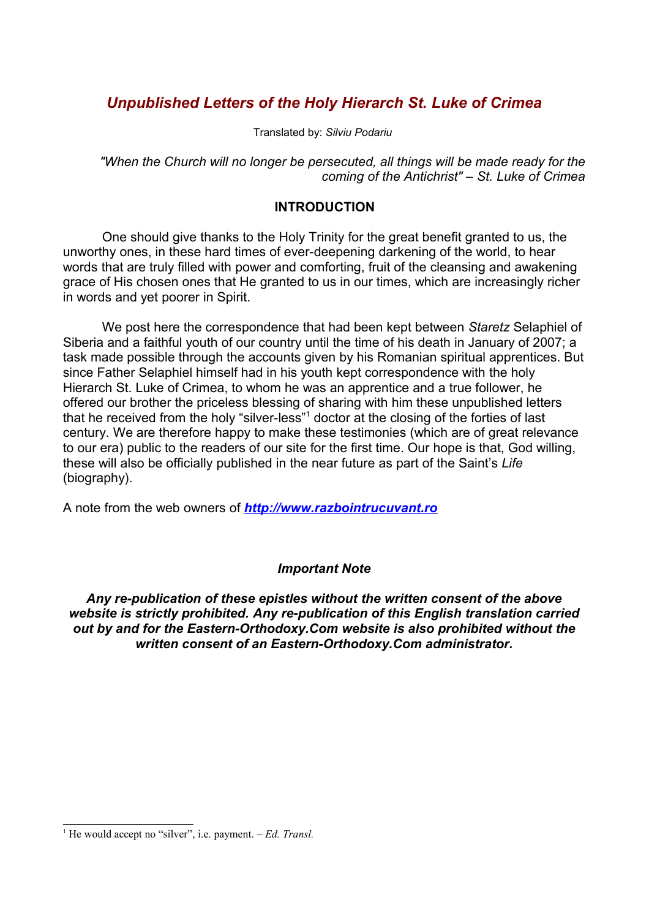# *Unpublished Letters of the Holy Hierarch St. Luke of Crimea*

Translated by: *Silviu Podariu* 

*"When the Church will no longer be persecuted, all things will be made ready for the coming of the Antichrist" – St. Luke of Crimea*

## **INTRODUCTION**

One should give thanks to the Holy Trinity for the great benefit granted to us, the unworthy ones, in these hard times of ever-deepening darkening of the world, to hear words that are truly filled with power and comforting, fruit of the cleansing and awakening grace of His chosen ones that He granted to us in our times, which are increasingly richer in words and yet poorer in Spirit.

We post here the correspondence that had been kept between *Staretz* Selaphiel of Siberia and a faithful youth of our country until the time of his death in January of 2007; a task made possible through the accounts given by his Romanian spiritual apprentices. But since Father Selaphiel himself had in his youth kept correspondence with the holy Hierarch St. Luke of Crimea, to whom he was an apprentice and a true follower, he offered our brother the priceless blessing of sharing with him these unpublished letters that he received from the holy "silver-less"<sup>[1](#page-0-0)</sup> doctor at the closing of the forties of last century. We are therefore happy to make these testimonies (which are of great relevance to our era) public to the readers of our site for the first time. Our hope is that, God willing, these will also be officially published in the near future as part of the Saint's *Life* (biography).

A note from the web owners of *[http://www.razbointrucuvant.ro](http://www.razbointrucuvant.ro/)*

# *Important Note*

*Any re-publication of these epistles without the written consent of the above website is strictly prohibited. Any re-publication of this English translation carried out by and for the Eastern-Orthodoxy.Com website is also prohibited without the written consent of an Eastern-Orthodoxy.Com administrator.*

<span id="page-0-0"></span><sup>&</sup>lt;sup>1</sup> He would accept no "silver", i.e. payment.  $-Ed$ . Transl.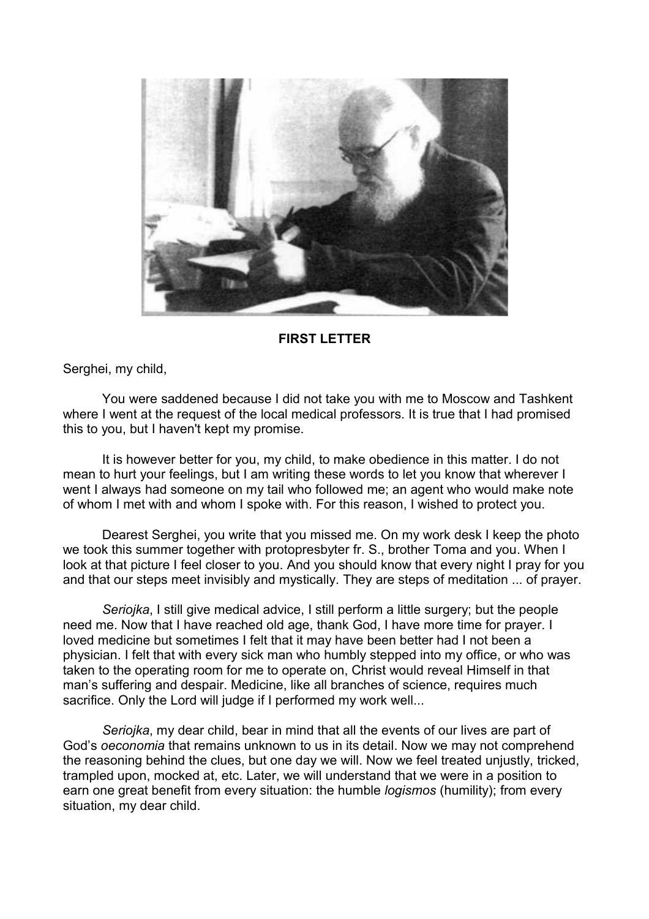

#### **FIRST LETTER**

Serghei, my child,

You were saddened because I did not take you with me to Moscow and Tashkent where I went at the request of the local medical professors. It is true that I had promised this to you, but I haven't kept my promise.

It is however better for you, my child, to make obedience in this matter. I do not mean to hurt your feelings, but I am writing these words to let you know that wherever I went I always had someone on my tail who followed me; an agent who would make note of whom I met with and whom I spoke with. For this reason, I wished to protect you.

Dearest Serghei, you write that you missed me. On my work desk I keep the photo we took this summer together with protopresbyter fr. S., brother Toma and you. When I look at that picture I feel closer to you. And you should know that every night I pray for you and that our steps meet invisibly and mystically. They are steps of meditation ... of prayer.

*Seriojka*, I still give medical advice, I still perform a little surgery; but the people need me. Now that I have reached old age, thank God, I have more time for prayer. I loved medicine but sometimes I felt that it may have been better had I not been a physician. I felt that with every sick man who humbly stepped into my office, or who was taken to the operating room for me to operate on, Christ would reveal Himself in that man's suffering and despair. Medicine, like all branches of science, requires much sacrifice. Only the Lord will judge if I performed my work well...

*Seriojka*, my dear child, bear in mind that all the events of our lives are part of God's *oeconomia* that remains unknown to us in its detail. Now we may not comprehend the reasoning behind the clues, but one day we will. Now we feel treated unjustly, tricked, trampled upon, mocked at, etc. Later, we will understand that we were in a position to earn one great benefit from every situation: the humble *logismos* (humility); from every situation, my dear child.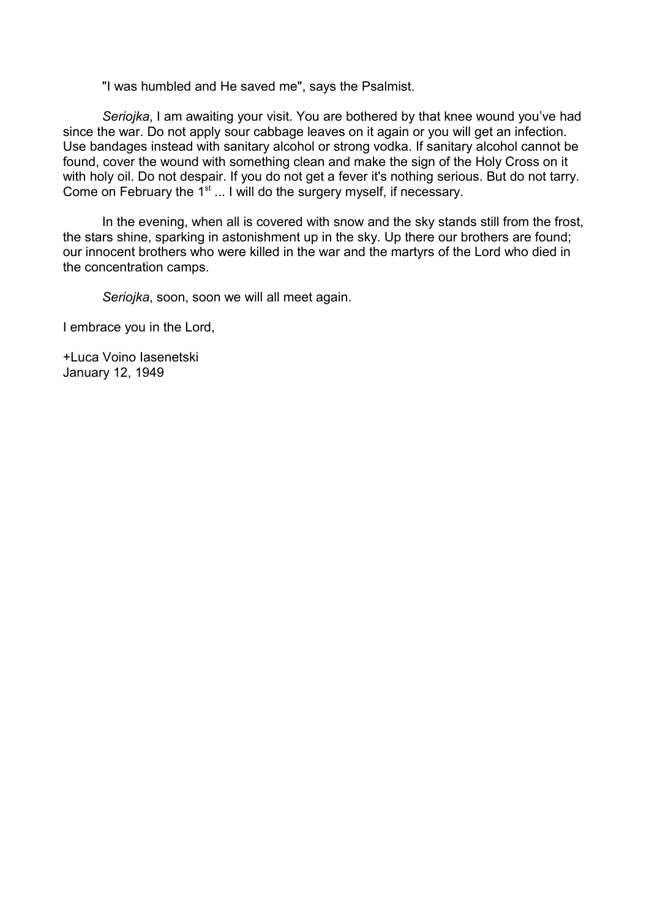"I was humbled and He saved me", says the Psalmist.

*Seriojka*, I am awaiting your visit. You are bothered by that knee wound you've had since the war. Do not apply sour cabbage leaves on it again or you will get an infection. Use bandages instead with sanitary alcohol or strong vodka. If sanitary alcohol cannot be found, cover the wound with something clean and make the sign of the Holy Cross on it with holy oil. Do not despair. If you do not get a fever it's nothing serious. But do not tarry. Come on February the  $1^{st}$  ... I will do the surgery myself, if necessary.

In the evening, when all is covered with snow and the sky stands still from the frost, the stars shine, sparking in astonishment up in the sky. Up there our brothers are found; our innocent brothers who were killed in the war and the martyrs of the Lord who died in the concentration camps.

*Seriojka*, soon, soon we will all meet again.

I embrace you in the Lord,

+Luca Voino Iasenetski January 12, 1949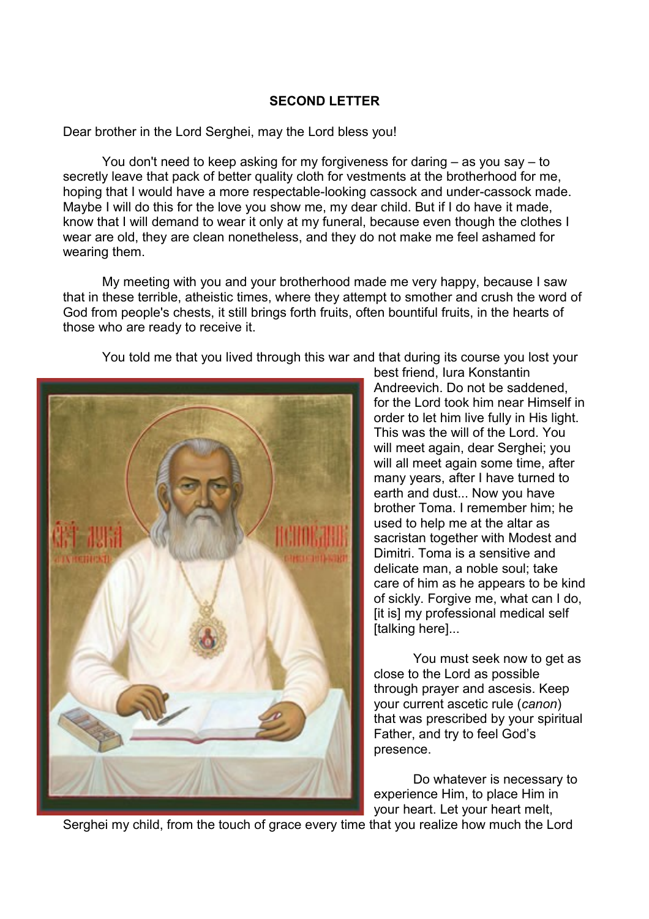## **SECOND LETTER**

Dear brother in the Lord Serghei, may the Lord bless you!

You don't need to keep asking for my forgiveness for daring – as you say – to secretly leave that pack of better quality cloth for vestments at the brotherhood for me, hoping that I would have a more respectable-looking cassock and under-cassock made. Maybe I will do this for the love you show me, my dear child. But if I do have it made, know that I will demand to wear it only at my funeral, because even though the clothes I wear are old, they are clean nonetheless, and they do not make me feel ashamed for wearing them.

My meeting with you and your brotherhood made me very happy, because I saw that in these terrible, atheistic times, where they attempt to smother and crush the word of God from people's chests, it still brings forth fruits, often bountiful fruits, in the hearts of those who are ready to receive it.

You told me that you lived through this war and that during its course you lost your



best friend, Iura Konstantin Andreevich. Do not be saddened, for the Lord took him near Himself in order to let him live fully in His light. This was the will of the Lord. You will meet again, dear Serghei; you will all meet again some time, after many years, after I have turned to earth and dust... Now you have brother Toma. I remember him; he used to help me at the altar as sacristan together with Modest and Dimitri. Toma is a sensitive and delicate man, a noble soul; take care of him as he appears to be kind of sickly. Forgive me, what can I do, [it is] my professional medical self [talking here]...

You must seek now to get as close to the Lord as possible through prayer and ascesis. Keep your current ascetic rule (*canon*) that was prescribed by your spiritual Father, and try to feel God's presence.

Do whatever is necessary to experience Him, to place Him in your heart. Let your heart melt,

Serghei my child, from the touch of grace every time that you realize how much the Lord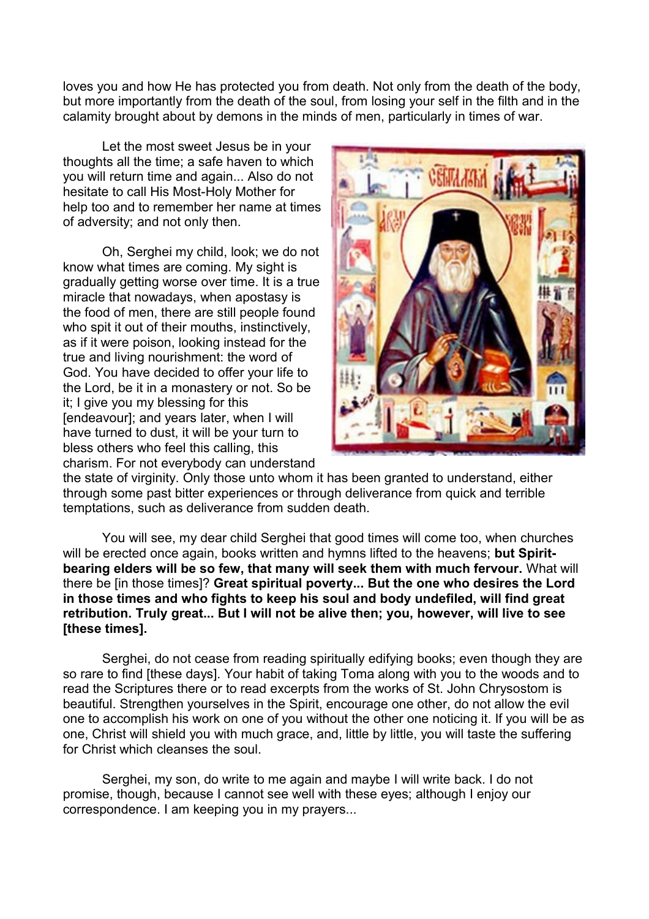loves you and how He has protected you from death. Not only from the death of the body, but more importantly from the death of the soul, from losing your self in the filth and in the calamity brought about by demons in the minds of men, particularly in times of war.

Let the most sweet Jesus be in your thoughts all the time; a safe haven to which you will return time and again... Also do not hesitate to call His Most-Holy Mother for help too and to remember her name at times of adversity; and not only then.

Oh, Serghei my child, look; we do not know what times are coming. My sight is gradually getting worse over time. It is a true miracle that nowadays, when apostasy is the food of men, there are still people found who spit it out of their mouths, instinctively, as if it were poison, looking instead for the true and living nourishment: the word of God. You have decided to offer your life to the Lord, be it in a monastery or not. So be it; I give you my blessing for this [endeavour]; and years later, when I will have turned to dust, it will be your turn to bless others who feel this calling, this charism. For not everybody can understand



the state of virginity. Only those unto whom it has been granted to understand, either through some past bitter experiences or through deliverance from quick and terrible temptations, such as deliverance from sudden death.

You will see, my dear child Serghei that good times will come too, when churches will be erected once again, books written and hymns lifted to the heavens; **but Spiritbearing elders will be so few, that many will seek them with much fervour.** What will there be [in those times]? **Great spiritual poverty... But the one who desires the Lord in those times and who fights to keep his soul and body undefiled, will find great retribution. Truly great... But I will not be alive then; you, however, will live to see [these times].**

Serghei, do not cease from reading spiritually edifying books; even though they are so rare to find [these days]. Your habit of taking Toma along with you to the woods and to read the Scriptures there or to read excerpts from the works of St. John Chrysostom is beautiful. Strengthen yourselves in the Spirit, encourage one other, do not allow the evil one to accomplish his work on one of you without the other one noticing it. If you will be as one, Christ will shield you with much grace, and, little by little, you will taste the suffering for Christ which cleanses the soul.

Serghei, my son, do write to me again and maybe I will write back. I do not promise, though, because I cannot see well with these eyes; although I enjoy our correspondence. I am keeping you in my prayers...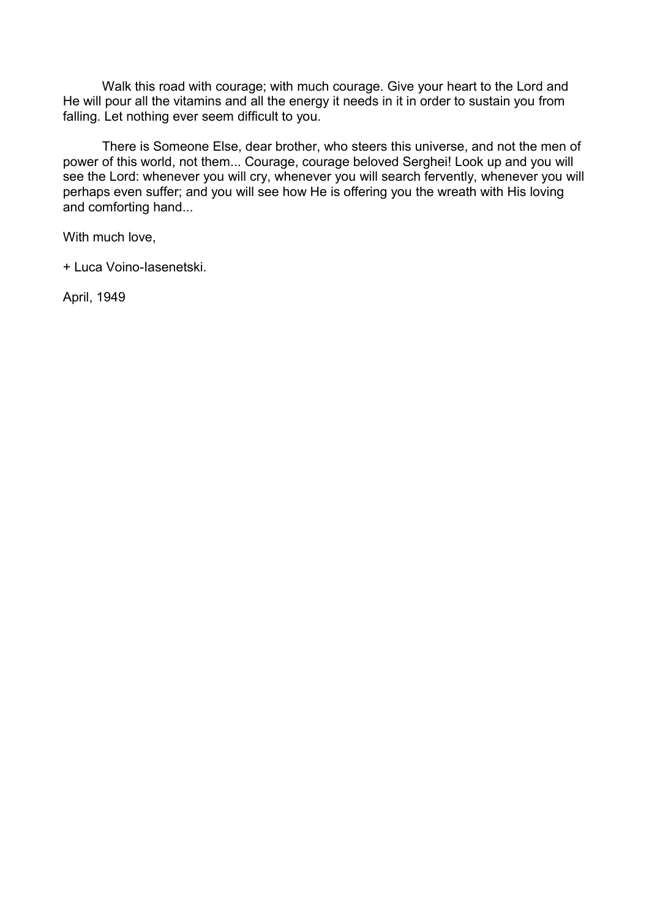Walk this road with courage; with much courage. Give your heart to the Lord and He will pour all the vitamins and all the energy it needs in it in order to sustain you from falling. Let nothing ever seem difficult to you.

There is Someone Else, dear brother, who steers this universe, and not the men of power of this world, not them... Courage, courage beloved Serghei! Look up and you will see the Lord: whenever you will cry, whenever you will search fervently, whenever you will perhaps even suffer; and you will see how He is offering you the wreath with His loving and comforting hand...

With much love,

+ Luca Voino-Iasenetski.

April, 1949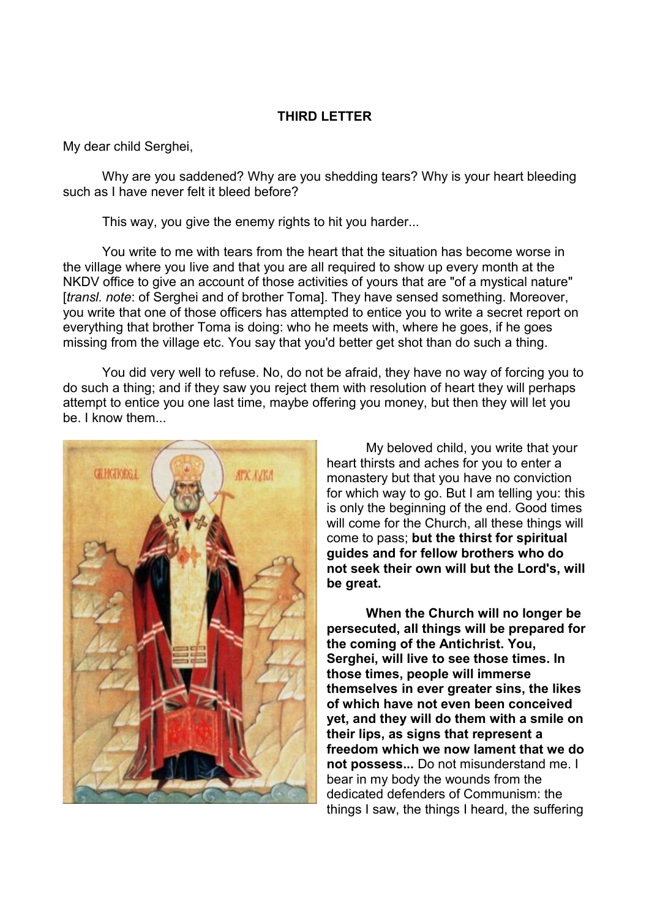### **THIRD LETTER**

My dear child Serghei,

Why are you saddened? Why are you shedding tears? Why is your heart bleeding such as I have never felt it bleed before?

This way, you give the enemy rights to hit you harder...

You write to me with tears from the heart that the situation has become worse in the village where you live and that you are all required to show up every month at the NKDV office to give an account of those activities of yours that are "of a mystical nature" [*transl. note*: of Serghei and of brother Toma]. They have sensed something. Moreover, you write that one of those officers has attempted to entice you to write a secret report on everything that brother Toma is doing: who he meets with, where he goes, if he goes missing from the village etc. You say that you'd better get shot than do such a thing.

You did very well to refuse. No, do not be afraid, they have no way of forcing you to do such a thing; and if they saw you reject them with resolution of heart they will perhaps attempt to entice you one last time, maybe offering you money, but then they will let you be. I know them.



My beloved child, you write that your heart thirsts and aches for you to enter a monastery but that you have no conviction for which way to go. But I am telling you: this is only the beginning of the end. Good times will come for the Church, all these things will come to pass; **but the thirst for spiritual guides and for fellow brothers who do not seek their own will but the Lord's, will be great.** 

**When the Church will no longer be persecuted, all things will be prepared for the coming of the Antichrist. You, Serghei, will live to see those times. In those times, people will immerse themselves in ever greater sins, the likes of which have not even been conceived yet, and they will do them with a smile on their lips, as signs that represent a freedom which we now lament that we do not possess...** Do not misunderstand me. I bear in my body the wounds from the dedicated defenders of Communism: the things I saw, the things I heard, the suffering